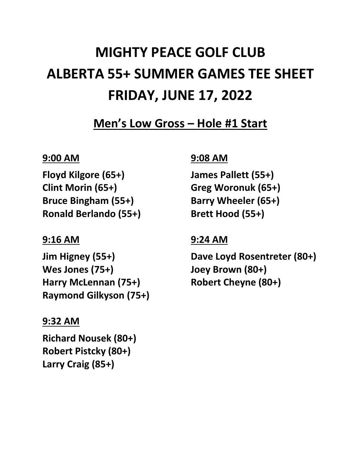# **MIGHTY PEACE GOLF CLUB ALBERTA 55+ SUMMER GAMES TEE SHEET FRIDAY, JUNE 17, 2022**

**Men's Low Gross – Hole #1 Start**

# **9:00 AM**

**Floyd Kilgore (65+) Clint Morin (65+) Bruce Bingham (55+) Ronald Berlando (55+)**

## **9:16 AM**

**Jim Higney (55+) Wes Jones (75+) Harry McLennan (75+) Raymond Gilkyson (75+)**

# **9:32 AM**

**Richard Nousek (80+) Robert Pistcky (80+) Larry Craig (85+)**

# **9:08 AM**

**James Pallett (55+) Greg Woronuk (65+) Barry Wheeler (65+) Brett Hood (55+)**

# **9:24 AM**

**Dave Loyd Rosentreter (80+) Joey Brown (80+) Robert Cheyne (80+)**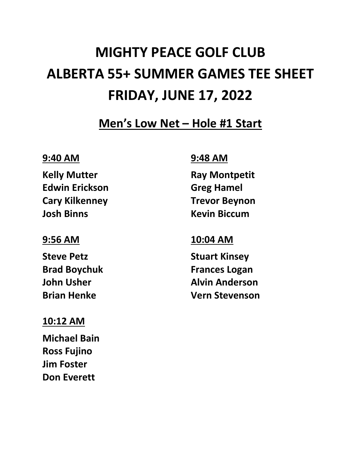# **MIGHTY PEACE GOLF CLUB ALBERTA 55+ SUMMER GAMES TEE SHEET FRIDAY, JUNE 17, 2022**

**Men's Low Net – Hole #1 Start**

### **9:40 AM**

**Kelly Mutter Edwin Erickson Cary Kilkenney Josh Binns**

#### **9:56 AM**

**Steve Petz Brad Boychuk John Usher Brian Henke**

# **10:12 AM**

**Michael Bain Ross Fujino Jim Foster Don Everett**

# **9:48 AM**

**Ray Montpetit Greg Hamel Trevor Beynon Kevin Biccum**

## **10:04 AM**

**Stuart Kinsey Frances Logan Alvin Anderson Vern Stevenson**